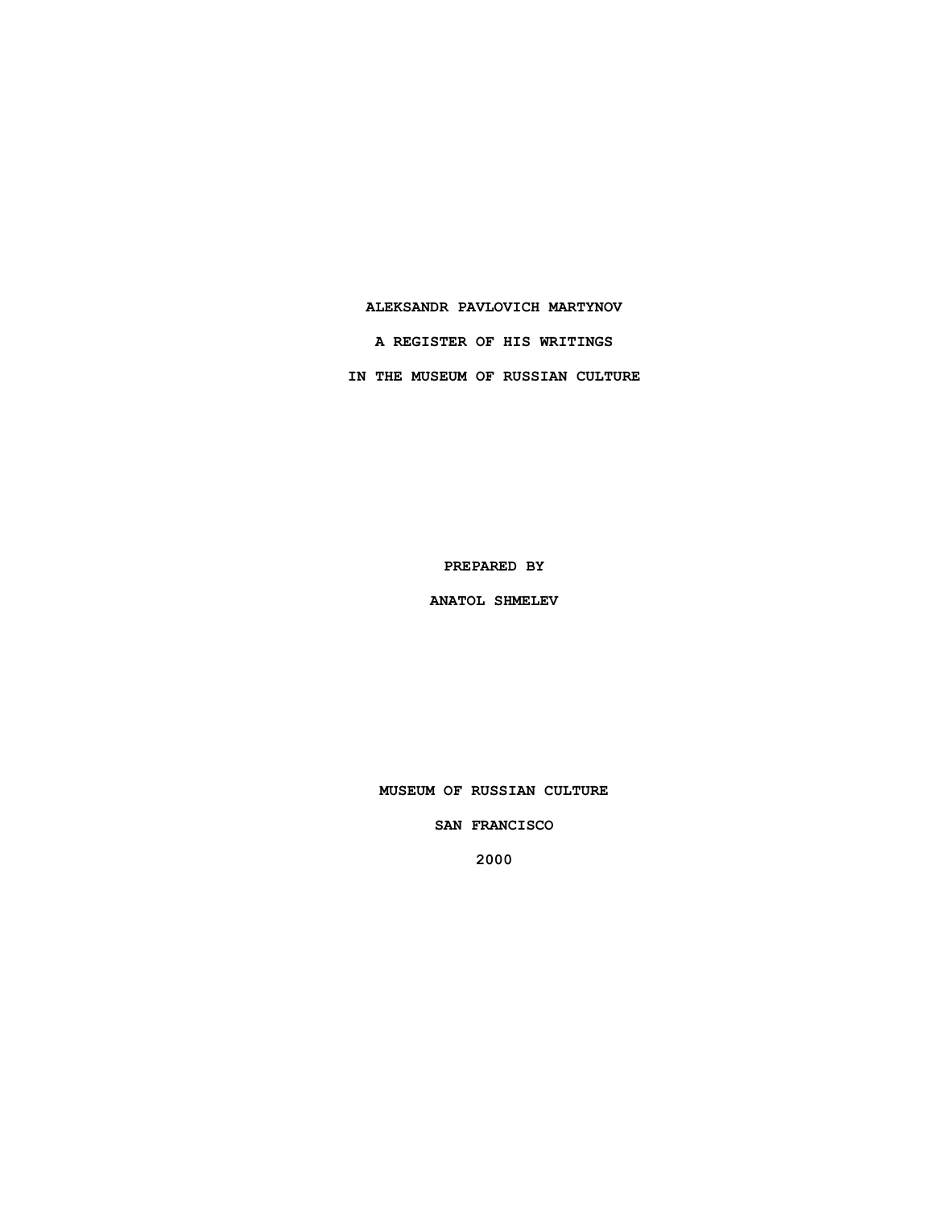## **ALEKSANDR PAVLOVICH MARTYNOV**

**A REGISTER OF HIS WRITINGS**

**IN THE MUSEUM OF RUSSIAN CULTURE**

**PREPARED BY**

**ANATOL SHMELEV**

**MUSEUM OF RUSSIAN CULTURE**

**SAN FRANCISCO**

**2000**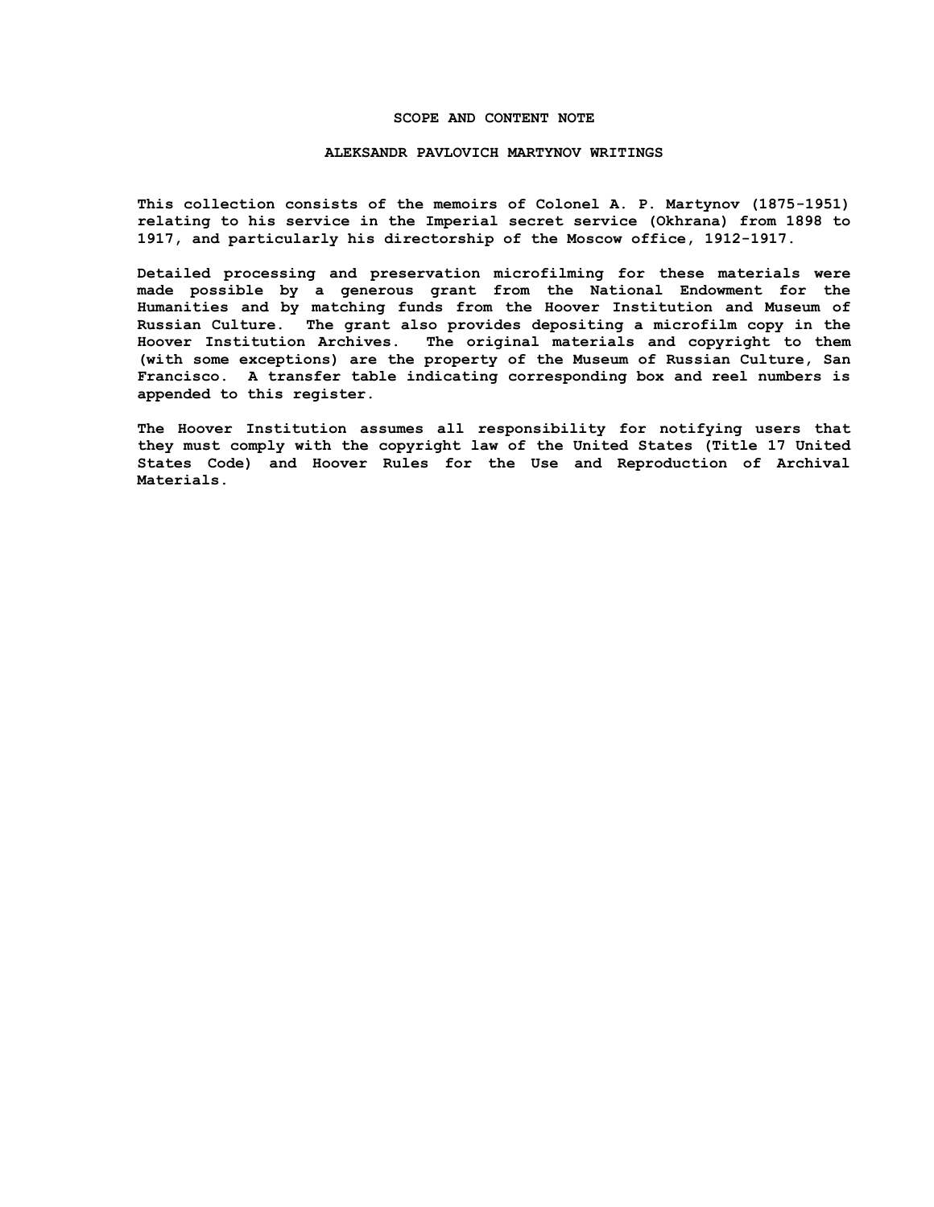## **SCOPE AND CONTENT NOTE**

### **ALEKSANDR PAVLOVICH MARTYNOV WRITINGS**

**This collection consists of the memoirs of Colonel A. P. Martynov (1875-1951) relating to his service in the Imperial secret service (Okhrana) from 1898 to 1917, and particularly his directorship of the Moscow office, 1912-1917.**

**Detailed processing and preservation microfilming for these materials were made possible by a generous grant from the National Endowment for the Humanities and by matching funds from the Hoover Institution and Museum of Russian Culture. The grant also provides depositing a microfilm copy in the Hoover Institution Archives. The original materials and copyright to them (with some exceptions) are the property of the Museum of Russian Culture, San Francisco. A transfer table indicating corresponding box and reel numbers is appended to this register.**

**The Hoover Institution assumes all responsibility for notifying users that they must comply with the copyright law of the United States (Title 17 United States Code) and Hoover Rules for the Use and Reproduction of Archival Materials.**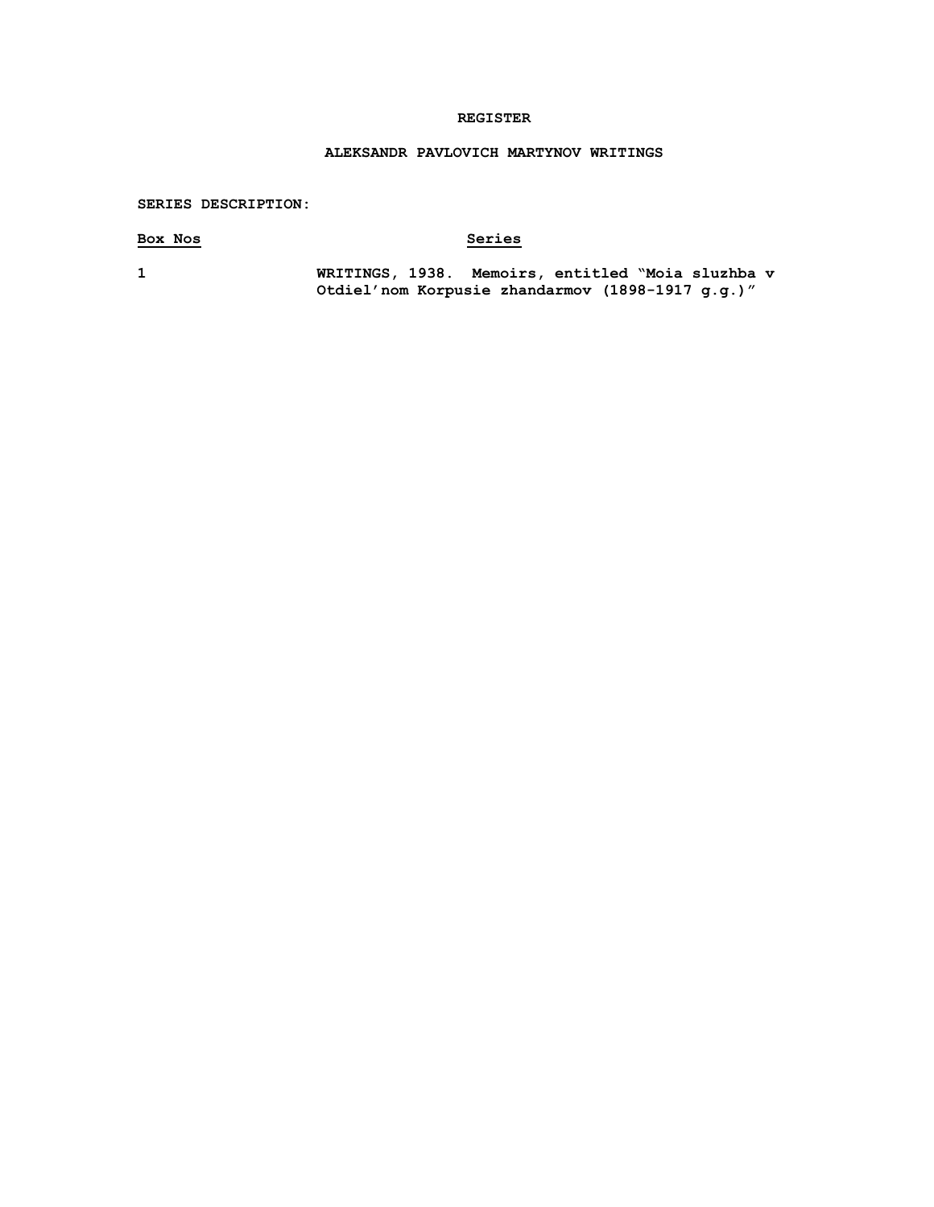## **REGISTER**

## **ALEKSANDR PAVLOVICH MARTYNOV WRITINGS**

## **SERIES DESCRIPTION:**

# **Box Nos Series**

**1 WRITINGS, 1938. Memoirs, entitled "Moia sluzhba v Otdiel'nom Korpusie zhandarmov (1898-1917 g.g.)"**